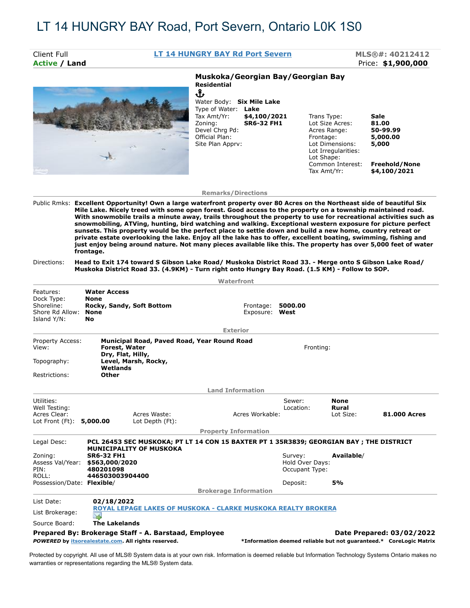| Client Full<br><b>Active / Land</b>                                                                                                                                                                                                                    |                                                                                                             |                                                               | LT 14 HUNGRY BAY Rd Port Severn                                                                                                                                                                    |                                   |                                                          |                                                                                                                                                        | MLS®#: 40212412<br>Price: \$1,900,000                                                                                                                                                                                                                                                                                                                                                                                                                                                                                                                                                                                                                                                                                                                                                                 |  |
|--------------------------------------------------------------------------------------------------------------------------------------------------------------------------------------------------------------------------------------------------------|-------------------------------------------------------------------------------------------------------------|---------------------------------------------------------------|----------------------------------------------------------------------------------------------------------------------------------------------------------------------------------------------------|-----------------------------------|----------------------------------------------------------|--------------------------------------------------------------------------------------------------------------------------------------------------------|-------------------------------------------------------------------------------------------------------------------------------------------------------------------------------------------------------------------------------------------------------------------------------------------------------------------------------------------------------------------------------------------------------------------------------------------------------------------------------------------------------------------------------------------------------------------------------------------------------------------------------------------------------------------------------------------------------------------------------------------------------------------------------------------------------|--|
|                                                                                                                                                                                                                                                        |                                                                                                             |                                                               | Muskoka/Georgian Bay/Georgian Bay<br><b>Residential</b><br>Ֆ<br>Water Body: Six Mile Lake<br>Type of Water: Lake<br>Tax Amt/Yr:<br>Zoning:<br>Devel Chrg Pd:<br>Official Plan:<br>Site Plan Apprv: | \$4,100/2021<br><b>SR6-32 FH1</b> |                                                          | Trans Type:<br>Lot Size Acres:<br>Acres Range:<br>Frontage:<br>Lot Dimensions:<br>Lot Irregularities:<br>Lot Shape:<br>Common Interest:<br>Tax Amt/Yr: | Sale<br>81.00<br>50-99.99<br>5,000.00<br>5,000<br>Freehold/None<br>\$4,100/2021                                                                                                                                                                                                                                                                                                                                                                                                                                                                                                                                                                                                                                                                                                                       |  |
|                                                                                                                                                                                                                                                        |                                                                                                             |                                                               | <b>Remarks/Directions</b>                                                                                                                                                                          |                                   |                                                          |                                                                                                                                                        |                                                                                                                                                                                                                                                                                                                                                                                                                                                                                                                                                                                                                                                                                                                                                                                                       |  |
| Directions:                                                                                                                                                                                                                                            | frontage.<br>Muskoka District Road 33. (4.9KM) - Turn right onto Hungry Bay Road. (1.5 KM) - Follow to SOP. |                                                               |                                                                                                                                                                                                    |                                   |                                                          |                                                                                                                                                        | Mile Lake. Nicely treed with some open forest. Good access to the property on a township maintained road.<br>With snowmobile trails a minute away, trails throughout the property to use for recreational activities such as<br>snowmobiling, ATVing, hunting, bird watching and walking. Exceptional western exposure for picture perfect<br>sunsets. This property would be the perfect place to settle down and build a new home, country retreat or<br>private estate overlooking the lake. Enjoy all the lake has to offer, excellent boating, swimming, fishing and<br>just enjoy being around nature. Not many pieces available like this. The property has over 5,000 feet of water<br>Head to Exit 174 toward S Gibson Lake Road/ Muskoka District Road 33. - Merge onto S Gibson Lake Road/ |  |
|                                                                                                                                                                                                                                                        |                                                                                                             |                                                               | Waterfront                                                                                                                                                                                         |                                   |                                                          |                                                                                                                                                        |                                                                                                                                                                                                                                                                                                                                                                                                                                                                                                                                                                                                                                                                                                                                                                                                       |  |
| Features:<br>Dock Type:<br>Shoreline:<br>Shore Rd Allow: None<br>Island Y/N:                                                                                                                                                                           | <b>Water Access</b><br>None<br>Rocky, Sandy, Soft Bottom<br><b>No</b>                                       |                                                               |                                                                                                                                                                                                    | Frontage:<br>Exposure: West       | 5000.00                                                  |                                                                                                                                                        |                                                                                                                                                                                                                                                                                                                                                                                                                                                                                                                                                                                                                                                                                                                                                                                                       |  |
|                                                                                                                                                                                                                                                        |                                                                                                             |                                                               | <b>Exterior</b>                                                                                                                                                                                    |                                   |                                                          |                                                                                                                                                        |                                                                                                                                                                                                                                                                                                                                                                                                                                                                                                                                                                                                                                                                                                                                                                                                       |  |
| Property Access:<br>View:                                                                                                                                                                                                                              | Forest, Water<br>Dry, Flat, Hilly,<br>Level, Marsh, Rocky,                                                  | Municipal Road, Paved Road, Year Round Road                   |                                                                                                                                                                                                    |                                   |                                                          | Fronting:                                                                                                                                              |                                                                                                                                                                                                                                                                                                                                                                                                                                                                                                                                                                                                                                                                                                                                                                                                       |  |
|                                                                                                                                                                                                                                                        | Wetlands<br>Other                                                                                           |                                                               |                                                                                                                                                                                                    |                                   |                                                          |                                                                                                                                                        |                                                                                                                                                                                                                                                                                                                                                                                                                                                                                                                                                                                                                                                                                                                                                                                                       |  |
|                                                                                                                                                                                                                                                        |                                                                                                             |                                                               |                                                                                                                                                                                                    |                                   |                                                          |                                                                                                                                                        |                                                                                                                                                                                                                                                                                                                                                                                                                                                                                                                                                                                                                                                                                                                                                                                                       |  |
|                                                                                                                                                                                                                                                        |                                                                                                             | Acres Waste:<br>Lot Depth (Ft):                               | <b>Land Information</b>                                                                                                                                                                            | Acres Workable:                   | Sewer:<br>Location:                                      | None<br>Rural<br>Lot Size:                                                                                                                             | <b>81.000 Acres</b>                                                                                                                                                                                                                                                                                                                                                                                                                                                                                                                                                                                                                                                                                                                                                                                   |  |
|                                                                                                                                                                                                                                                        |                                                                                                             |                                                               | <b>Property Information</b>                                                                                                                                                                        |                                   |                                                          |                                                                                                                                                        | PCL 26453 SEC MUSKOKA; PT LT 14 CON 15 BAXTER PT 1 35R3839; GEORGIAN BAY ; THE DISTRICT                                                                                                                                                                                                                                                                                                                                                                                                                                                                                                                                                                                                                                                                                                               |  |
|                                                                                                                                                                                                                                                        | <b>MUNICIPALITY OF MUSKOKA</b><br><b>SR6-32 FH1</b><br>\$563,000/2020<br>480201098<br>446503003904400       |                                                               |                                                                                                                                                                                                    |                                   | Survey:<br>Hold Over Days:<br>Occupant Type:<br>Deposit: | Available/<br>5%                                                                                                                                       |                                                                                                                                                                                                                                                                                                                                                                                                                                                                                                                                                                                                                                                                                                                                                                                                       |  |
|                                                                                                                                                                                                                                                        | 02/18/2022                                                                                                  |                                                               | <b>Brokerage Information</b>                                                                                                                                                                       |                                   |                                                          |                                                                                                                                                        |                                                                                                                                                                                                                                                                                                                                                                                                                                                                                                                                                                                                                                                                                                                                                                                                       |  |
|                                                                                                                                                                                                                                                        |                                                                                                             | ROYAL LEPAGE LAKES OF MUSKOKA - CLARKE MUSKOKA REALTY BROKERA |                                                                                                                                                                                                    |                                   |                                                          |                                                                                                                                                        |                                                                                                                                                                                                                                                                                                                                                                                                                                                                                                                                                                                                                                                                                                                                                                                                       |  |
| Topography:<br>Restrictions:<br>Utilities:<br>Well Testing:<br>Acres Clear:<br>Lot Front (Ft): 5,000.00<br>Legal Desc:<br>Zoning:<br>Assess Val/Year:<br>PIN:<br>ROLL:<br>Possession/Date: Flexible/<br>List Date:<br>List Brokerage:<br>Source Board: | <b>The Lakelands</b><br>Prepared By: Brokerage Staff - A. Barstaad, Employee                                |                                                               |                                                                                                                                                                                                    |                                   |                                                          |                                                                                                                                                        | Date Prepared: 03/02/2022                                                                                                                                                                                                                                                                                                                                                                                                                                                                                                                                                                                                                                                                                                                                                                             |  |

warranties or representations regarding the MLS® System data.